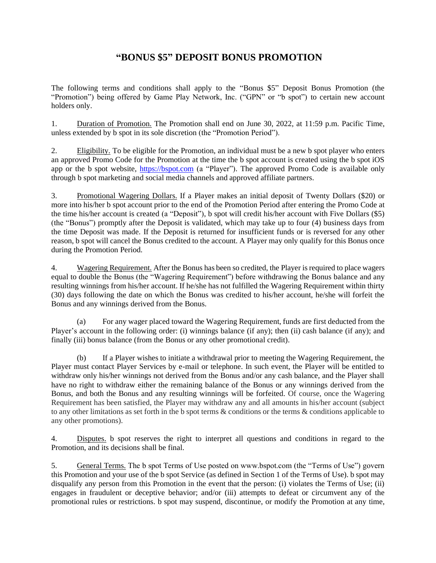## **"BONUS \$5" DEPOSIT BONUS PROMOTION**

The following terms and conditions shall apply to the "Bonus \$5" Deposit Bonus Promotion (the "Promotion") being offered by Game Play Network, Inc. ("GPN" or "b spot") to certain new account holders only.

1. Duration of Promotion. The Promotion shall end on June 30, 2022, at 11:59 p.m. Pacific Time, unless extended by b spot in its sole discretion (the "Promotion Period").

2. Eligibility. To be eligible for the Promotion, an individual must be a new b spot player who enters an approved Promo Code for the Promotion at the time the b spot account is created using the b spot iOS app or the b spot website, [https://bspot.com](https://bspot.com/) (a "Player"). The approved Promo Code is available only through b spot marketing and social media channels and approved affiliate partners.

3. Promotional Wagering Dollars. If a Player makes an initial deposit of Twenty Dollars (\$20) or more into his/her b spot account prior to the end of the Promotion Period after entering the Promo Code at the time his/her account is created (a "Deposit"), b spot will credit his/her account with Five Dollars (\$5) (the "Bonus") promptly after the Deposit is validated, which may take up to four (4) business days from the time Deposit was made. If the Deposit is returned for insufficient funds or is reversed for any other reason, b spot will cancel the Bonus credited to the account. A Player may only qualify for this Bonus once during the Promotion Period.

4. Wagering Requirement. After the Bonus has been so credited, the Player is required to place wagers equal to double the Bonus (the "Wagering Requirement") before withdrawing the Bonus balance and any resulting winnings from his/her account. If he/she has not fulfilled the Wagering Requirement within thirty (30) days following the date on which the Bonus was credited to his/her account, he/she will forfeit the Bonus and any winnings derived from the Bonus.

(a) For any wager placed toward the Wagering Requirement, funds are first deducted from the Player's account in the following order: (i) winnings balance (if any); then (ii) cash balance (if any); and finally (iii) bonus balance (from the Bonus or any other promotional credit).

(b) If a Player wishes to initiate a withdrawal prior to meeting the Wagering Requirement, the Player must contact Player Services by e-mail or telephone. In such event, the Player will be entitled to withdraw only his/her winnings not derived from the Bonus and/or any cash balance, and the Player shall have no right to withdraw either the remaining balance of the Bonus or any winnings derived from the Bonus, and both the Bonus and any resulting winnings will be forfeited. Of course, once the Wagering Requirement has been satisfied, the Player may withdraw any and all amounts in his/her account (subject to any other limitations as set forth in the b spot terms & conditions or the terms & conditions applicable to any other promotions).

4. Disputes. b spot reserves the right to interpret all questions and conditions in regard to the Promotion, and its decisions shall be final.

5. General Terms. The b spot Terms of Use posted on www.bspot.com (the "Terms of Use") govern this Promotion and your use of the b spot Service (as defined in Section 1 of the Terms of Use). b spot may disqualify any person from this Promotion in the event that the person: (i) violates the Terms of Use; (ii) engages in fraudulent or deceptive behavior; and/or (iii) attempts to defeat or circumvent any of the promotional rules or restrictions. b spot may suspend, discontinue, or modify the Promotion at any time,